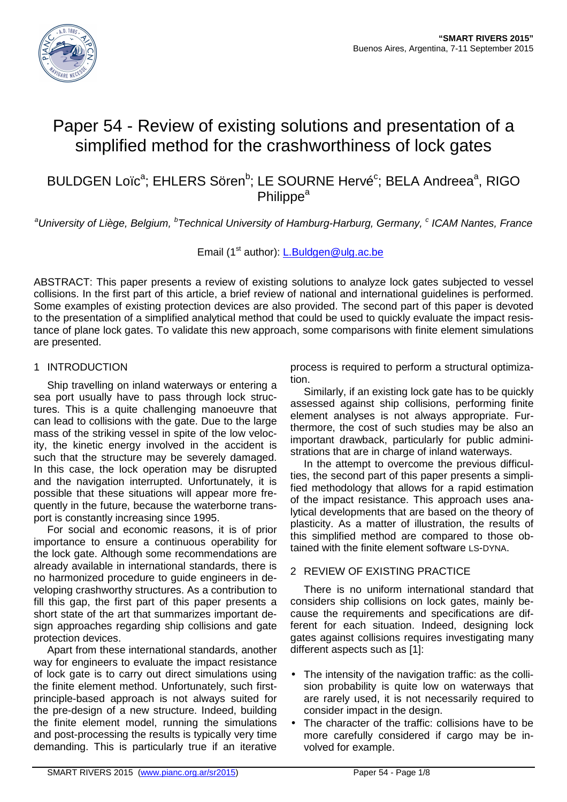

# Paper 54 - Review of existing solutions and presentation of a simplified method for the crashworthiness of lock gates

BULDGEN Loïc<sup>a</sup>; EHLERS Sören<sup>b</sup>; LE SOURNE Hervé<sup>c</sup>; BELA Andreea<sup>a</sup>, RIGO **Philippe<sup>a</sup>** 

<sup>a</sup>University of Liège, Belgium, <sup>b</sup>Technical University of Hamburg-Harburg, Germany, <sup>c</sup> ICAM Nantes, France

Email (1<sup>st</sup> author): L.Buldgen@ulg.ac.be

ABSTRACT: This paper presents a review of existing solutions to analyze lock gates subjected to vessel collisions. In the first part of this article, a brief review of national and international guidelines is performed. Some examples of existing protection devices are also provided. The second part of this paper is devoted to the presentation of a simplified analytical method that could be used to quickly evaluate the impact resistance of plane lock gates. To validate this new approach, some comparisons with finite element simulations are presented.

## 1 INTRODUCTION

Ship travelling on inland waterways or entering a sea port usually have to pass through lock structures. This is a quite challenging manoeuvre that can lead to collisions with the gate. Due to the large mass of the striking vessel in spite of the low velocity, the kinetic energy involved in the accident is such that the structure may be severely damaged. In this case, the lock operation may be disrupted and the navigation interrupted. Unfortunately, it is possible that these situations will appear more frequently in the future, because the waterborne transport is constantly increasing since 1995.

For social and economic reasons, it is of prior importance to ensure a continuous operability for the lock gate. Although some recommendations are already available in international standards, there is no harmonized procedure to guide engineers in developing crashworthy structures. As a contribution to fill this gap, the first part of this paper presents a short state of the art that summarizes important design approaches regarding ship collisions and gate protection devices.

Apart from these international standards, another way for engineers to evaluate the impact resistance of lock gate is to carry out direct simulations using the finite element method. Unfortunately, such firstprinciple-based approach is not always suited for the pre-design of a new structure. Indeed, building the finite element model, running the simulations and post-processing the results is typically very time demanding. This is particularly true if an iterative

process is required to perform a structural optimization.

Similarly, if an existing lock gate has to be quickly assessed against ship collisions, performing finite element analyses is not always appropriate. Furthermore, the cost of such studies may be also an important drawback, particularly for public administrations that are in charge of inland waterways.

In the attempt to overcome the previous difficulties, the second part of this paper presents a simplified methodology that allows for a rapid estimation of the impact resistance. This approach uses analytical developments that are based on the theory of plasticity. As a matter of illustration, the results of this simplified method are compared to those obtained with the finite element software LS-DYNA.

### 2 REVIEW OF EXISTING PRACTICE

There is no uniform international standard that considers ship collisions on lock gates, mainly because the requirements and specifications are different for each situation. Indeed, designing lock gates against collisions requires investigating many different aspects such as [1]:

- The intensity of the navigation traffic: as the collision probability is quite low on waterways that are rarely used, it is not necessarily required to consider impact in the design.
- The character of the traffic: collisions have to be more carefully considered if cargo may be involved for example.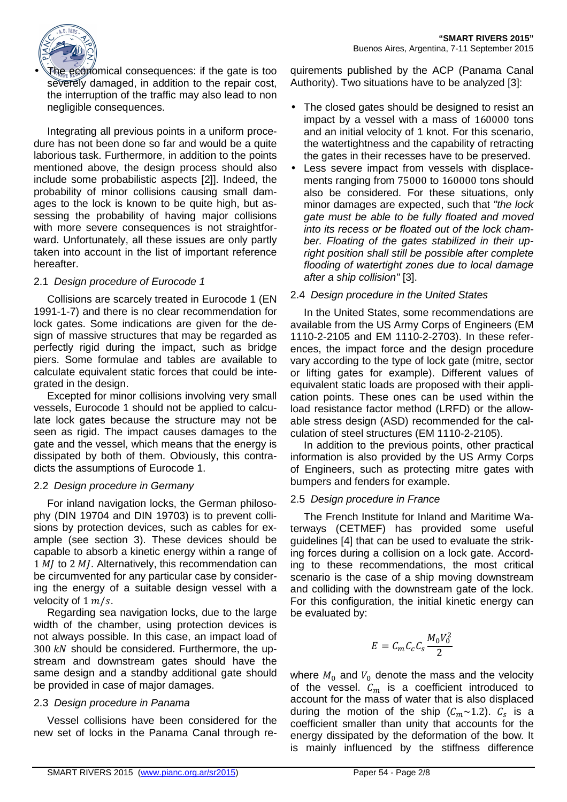

The economical consequences: if the gate is too severely damaged, in addition to the repair cost, the interruption of the traffic may also lead to non negligible consequences.

Integrating all previous points in a uniform procedure has not been done so far and would be a quite laborious task. Furthermore, in addition to the points mentioned above, the design process should also include some probabilistic aspects [2]]. Indeed, the probability of minor collisions causing small damages to the lock is known to be quite high, but assessing the probability of having major collisions with more severe consequences is not straightforward. Unfortunately, all these issues are only partly taken into account in the list of important reference hereafter.

### 2.1 Design procedure of Eurocode 1

Collisions are scarcely treated in Eurocode 1 (EN 1991-1-7) and there is no clear recommendation for lock gates. Some indications are given for the design of massive structures that may be regarded as perfectly rigid during the impact, such as bridge piers. Some formulae and tables are available to calculate equivalent static forces that could be integrated in the design.

Excepted for minor collisions involving very small vessels, Eurocode 1 should not be applied to calculate lock gates because the structure may not be seen as rigid. The impact causes damages to the gate and the vessel, which means that the energy is dissipated by both of them. Obviously, this contradicts the assumptions of Eurocode 1.

## 2.2 Design procedure in Germany

For inland navigation locks, the German philosophy (DIN 19704 and DIN 19703) is to prevent collisions by protection devices, such as cables for example (see section 3). These devices should be capable to absorb a kinetic energy within a range of 1  $M$  to 2  $M$ . Alternatively, this recommendation can be circumvented for any particular case by considering the energy of a suitable design vessel with a velocity of  $1 m/s$ .

Regarding sea navigation locks, due to the large width of the chamber, using protection devices is not always possible. In this case, an impact load of  $300 \, kN$  should be considered. Furthermore, the upstream and downstream gates should have the same design and a standby additional gate should be provided in case of major damages.

## 2.3 Design procedure in Panama

Vessel collisions have been considered for the new set of locks in the Panama Canal through requirements published by the ACP (Panama Canal Authority). Two situations have to be analyzed [3]:

- The closed gates should be designed to resist an impact by a vessel with a mass of 160000 tons and an initial velocity of 1 knot. For this scenario, the watertightness and the capability of retracting the gates in their recesses have to be preserved.
- Less severe impact from vessels with displacements ranging from 75000 to 160000 tons should also be considered. For these situations, only minor damages are expected, such that "the lock gate must be able to be fully floated and moved into its recess or be floated out of the lock chamber. Floating of the gates stabilized in their upright position shall still be possible after complete flooding of watertight zones due to local damage after a ship collision" [3].

# 2.4 Design procedure in the United States

In the United States, some recommendations are available from the US Army Corps of Engineers (EM 1110-2-2105 and EM 1110-2-2703). In these references, the impact force and the design procedure vary according to the type of lock gate (mitre, sector or lifting gates for example). Different values of equivalent static loads are proposed with their application points. These ones can be used within the load resistance factor method (LRFD) or the allowable stress design (ASD) recommended for the calculation of steel structures (EM 1110-2-2105).

In addition to the previous points, other practical information is also provided by the US Army Corps of Engineers, such as protecting mitre gates with bumpers and fenders for example.

## 2.5 Design procedure in France

The French Institute for Inland and Maritime Waterways (CETMEF) has provided some useful guidelines [4] that can be used to evaluate the striking forces during a collision on a lock gate. According to these recommendations, the most critical scenario is the case of a ship moving downstream and colliding with the downstream gate of the lock. For this configuration, the initial kinetic energy can be evaluated by:

$$
E=C_mC_cC_s\frac{M_0V_0^2}{2}
$$

where  $M_0$  and  $V_0$  denote the mass and the velocity of the vessel.  $C_m$  is a coefficient introduced to account for the mass of water that is also displaced during the motion of the ship  $(C_m \sim 1.2)$ .  $C_s$  is a coefficient smaller than unity that accounts for the energy dissipated by the deformation of the bow. It is mainly influenced by the stiffness difference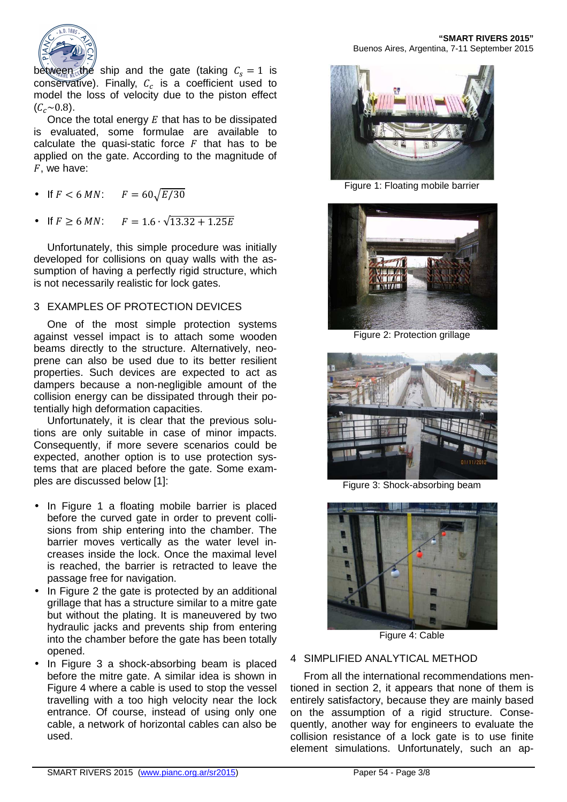

between the ship and the gate (taking  $C_s = 1$  is conservative). Finally,  $C_c$  is a coefficient used to model the loss of velocity due to the piston effect  $(C_c \sim 0.8)$ .

Once the total energy  $E$  that has to be dissipated is evaluated, some formulae are available to calculate the quasi-static force  $F$  that has to be applied on the gate. According to the magnitude of  $F$ , we have:

- If  $F < 6$  MN:  $F = 60\sqrt{E/30}$
- If  $F \ge 6$  MN:  $F = 1.6 \cdot \sqrt{13.32 + 1.25E}$

Unfortunately, this simple procedure was initially developed for collisions on quay walls with the assumption of having a perfectly rigid structure, which is not necessarily realistic for lock gates.

### 3 EXAMPLES OF PROTECTION DEVICES

One of the most simple protection systems against vessel impact is to attach some wooden beams directly to the structure. Alternatively, neoprene can also be used due to its better resilient properties. Such devices are expected to act as dampers because a non-negligible amount of the collision energy can be dissipated through their potentially high deformation capacities.

Unfortunately, it is clear that the previous solutions are only suitable in case of minor impacts. Consequently, if more severe scenarios could be expected, another option is to use protection systems that are placed before the gate. Some examples are discussed below [1]:

- In Figure 1 a floating mobile barrier is placed before the curved gate in order to prevent collisions from ship entering into the chamber. The barrier moves vertically as the water level increases inside the lock. Once the maximal level is reached, the barrier is retracted to leave the passage free for navigation.
- In Figure 2 the gate is protected by an additional grillage that has a structure similar to a mitre gate but without the plating. It is maneuvered by two hydraulic jacks and prevents ship from entering into the chamber before the gate has been totally opened.
- In Figure 3 a shock-absorbing beam is placed before the mitre gate. A similar idea is shown in Figure 4 where a cable is used to stop the vessel travelling with a too high velocity near the lock entrance. Of course, instead of using only one cable, a network of horizontal cables can also be used.



Figure 1: Floating mobile barrier



Figure 2: Protection grillage



Figure 3: Shock-absorbing beam



Figure 4: Cable

### 4 SIMPLIFIED ANALYTICAL METHOD

From all the international recommendations mentioned in section 2, it appears that none of them is entirely satisfactory, because they are mainly based on the assumption of a rigid structure. Consequently, another way for engineers to evaluate the collision resistance of a lock gate is to use finite element simulations. Unfortunately, such an ap-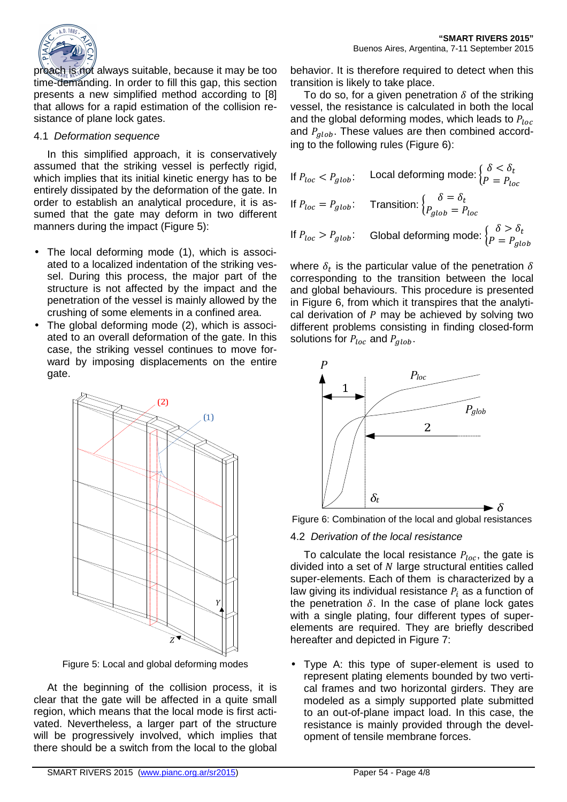

proach is not always suitable, because it may be too time-demanding. In order to fill this gap, this section presents a new simplified method according to [8] that allows for a rapid estimation of the collision resistance of plane lock gates.

### 4.1 Deformation sequence

In this simplified approach, it is conservatively assumed that the striking vessel is perfectly rigid, which implies that its initial kinetic energy has to be entirely dissipated by the deformation of the gate. In order to establish an analytical procedure, it is assumed that the gate may deform in two different manners during the impact (Figure 5):

- The local deforming mode (1), which is associated to a localized indentation of the striking vessel. During this process, the major part of the structure is not affected by the impact and the penetration of the vessel is mainly allowed by the crushing of some elements in a confined area.
- The global deforming mode (2), which is associated to an overall deformation of the gate. In this case, the striking vessel continues to move forward by imposing displacements on the entire gate.



Figure 5: Local and global deforming modes

At the beginning of the collision process, it is clear that the gate will be affected in a quite small region, which means that the local mode is first activated. Nevertheless, a larger part of the structure will be progressively involved, which implies that there should be a switch from the local to the global

behavior. It is therefore required to detect when this transition is likely to take place.

To do so, for a given penetration  $\delta$  of the striking vessel, the resistance is calculated in both the local and the global deforming modes, which leads to  $P_{loc}$ and  $P_{alob}$ . These values are then combined according to the following rules (Figure 6):

If 
$$
P_{loc} < P_{glob}
$$
: Local deforming mode:  $\begin{cases} \delta < \delta_t \\ P = P_{loc} \end{cases}$   
\nIf  $P_{loc} = P_{glob}$ : Transition:  $\begin{cases} \delta = \delta_t \\ P_{glob} = P_{loc} \end{cases}$   
\nIf  $P_{loc} > P_{glob}$ : Global deforming mode:  $\begin{cases} \delta > \delta_t \\ P = P_{glob} \end{cases}$ 

where  $\delta_t$  is the particular value of the penetration  $\delta$ corresponding to the transition between the local and global behaviours. This procedure is presented in Figure 6, from which it transpires that the analytical derivation of  $P$  may be achieved by solving two different problems consisting in finding closed-form solutions for  $P_{loc}$  and  $P_{alob}$ .



Figure 6: Combination of the local and global resistances

## 4.2 Derivation of the local resistance

To calculate the local resistance  $P_{loc}$ , the gate is divided into a set of  $N$  large structural entities called super-elements. Each of them is characterized by a law giving its individual resistance  $P_i$  as a function of the penetration  $\delta$ . In the case of plane lock gates with a single plating, four different types of superelements are required. They are briefly described hereafter and depicted in Figure 7:

• Type A: this type of super-element is used to represent plating elements bounded by two vertical frames and two horizontal girders. They are modeled as a simply supported plate submitted to an out-of-plane impact load. In this case, the resistance is mainly provided through the development of tensile membrane forces.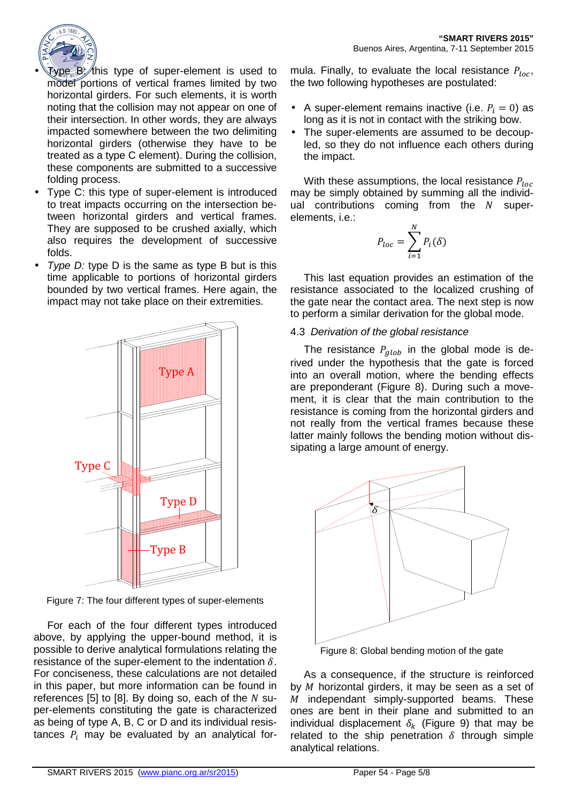

- $\sqrt{2\pi}$   $\frac{1}{2}$  (this type of super-element is used to model portions of vertical frames limited by two horizontal girders. For such elements, it is worth noting that the collision may not appear on one of their intersection. In other words, they are always impacted somewhere between the two delimiting horizontal girders (otherwise they have to be treated as a type C element). During the collision, these components are submitted to a successive folding process.
- Type C: this type of super-element is introduced to treat impacts occurring on the intersection between horizontal girders and vertical frames. They are supposed to be crushed axially, which also requires the development of successive folds.
- Type  $D$ : type  $D$  is the same as type  $B$  but is this time applicable to portions of horizontal girders bounded by two vertical frames. Here again, the impact may not take place on their extremities.



Figure 7: The four different types of super-elements

For each of the four different types introduced above, by applying the upper-bound method, it is possible to derive analytical formulations relating the resistance of the super-element to the indentation  $\delta$ . For conciseness, these calculations are not detailed in this paper, but more information can be found in references [5] to [8]. By doing so, each of the  $N$  super-elements constituting the gate is characterized as being of type A, B, C or D and its individual resistances  $P_i$  may be evaluated by an analytical formula. Finally, to evaluate the local resistance  $P_{loc}$ , the two following hypotheses are postulated:

- A super-element remains inactive (i.e.  $P_i = 0$ ) as long as it is not in contact with the striking bow.
- The super-elements are assumed to be decoupled, so they do not influence each others during the impact.

With these assumptions, the local resistance  $P_{loc}$ may be simply obtained by summing all the individual contributions coming from the  $N$  superelements, i.e.:

$$
P_{loc} = \sum_{i=1}^{N} P_i(\delta)
$$

This last equation provides an estimation of the resistance associated to the localized crushing of the gate near the contact area. The next step is now to perform a similar derivation for the global mode.

### 4.3 Derivation of the global resistance

The resistance  $P_{glob}$  in the global mode is derived under the hypothesis that the gate is forced into an overall motion, where the bending effects are preponderant (Figure 8). During such a movement, it is clear that the main contribution to the resistance is coming from the horizontal girders and not really from the vertical frames because these latter mainly follows the bending motion without dissipating a large amount of energy.



Figure 8: Global bending motion of the gate

As a consequence, if the structure is reinforced by  $M$  horizontal girders, it may be seen as a set of  $M$  independant simply-supported beams. These ones are bent in their plane and submitted to an individual displacement  $\delta_k$  (Figure 9) that may be related to the ship penetration  $\delta$  through simple analytical relations.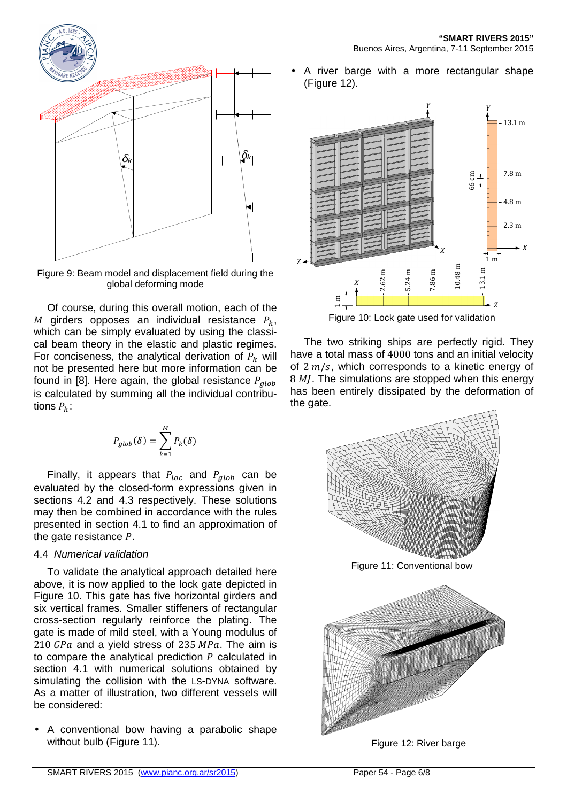

Figure 9: Beam model and displacement field during the global deforming mode

Of course, during this overall motion, each of the M girders opposes an individual resistance  $P_k$ , which can be simply evaluated by using the classical beam theory in the elastic and plastic regimes. For conciseness, the analytical derivation of  $P_k$  will not be presented here but more information can be found in [8]. Here again, the global resistance  $P_{alob}$ is calculated by summing all the individual contributions  $P_k$ :

$$
P_{glob}(\delta) = \sum_{k=1}^{M} P_k(\delta)
$$

Finally, it appears that  $P_{loc}$  and  $P_{glob}$  can be evaluated by the closed-form expressions given in sections 4.2 and 4.3 respectively. These solutions may then be combined in accordance with the rules presented in section 4.1 to find an approximation of the gate resistance  $P$ .

#### 4.4 Numerical validation

To validate the analytical approach detailed here above, it is now applied to the lock gate depicted in Figure 10. This gate has five horizontal girders and six vertical frames. Smaller stiffeners of rectangular cross-section regularly reinforce the plating. The gate is made of mild steel, with a Young modulus of  $210$  GPa and a yield stress of 235 MPa. The aim is to compare the analytical prediction  $P$  calculated in section 4.1 with numerical solutions obtained by simulating the collision with the LS-DYNA software. As a matter of illustration, two different vessels will be considered:

• A conventional bow having a parabolic shape without bulb (Figure 11).

• A river barge with a more rectangular shape (Figure 12).



Figure 10: Lock gate used for validation

The two striking ships are perfectly rigid. They have a total mass of 4000 tons and an initial velocity of  $2 m/s$ , which corresponds to a kinetic energy of  $8$   $M$ . The simulations are stopped when this energy has been entirely dissipated by the deformation of the gate.



Figure 11: Conventional bow



Figure 12: River barge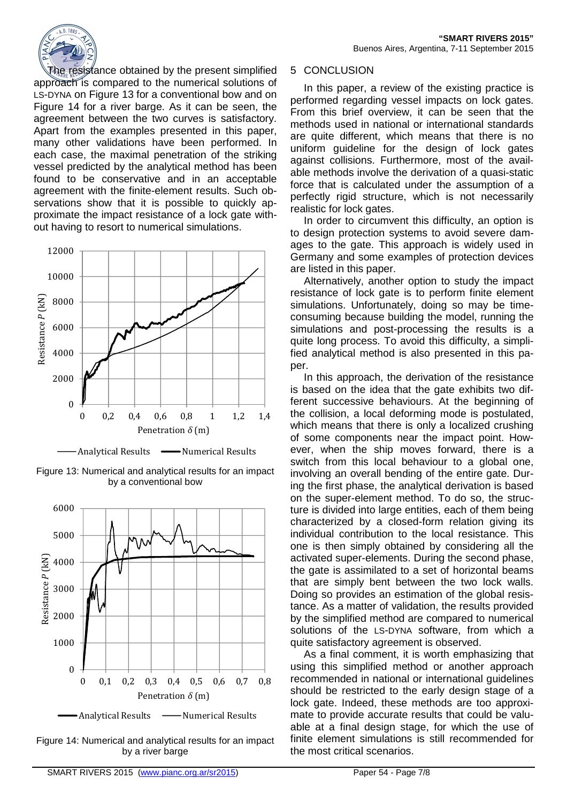The resistance obtained by the present simplified approach is compared to the numerical solutions of LS-DYNA on Figure 13 for a conventional bow and on Figure 14 for a river barge. As it can be seen, the agreement between the two curves is satisfactory. Apart from the examples presented in this paper, many other validations have been performed. In each case, the maximal penetration of the striking vessel predicted by the analytical method has been found to be conservative and in an acceptable agreement with the finite-element results. Such observations show that it is possible to quickly approximate the impact resistance of a lock gate without having to resort to numerical simulations.





Figure 13: Numerical and analytical results for an impact by a conventional bow



Figure 14: Numerical and analytical results for an impact by a river barge

#### 5 CONCLUSION

In this paper, a review of the existing practice is performed regarding vessel impacts on lock gates. From this brief overview, it can be seen that the methods used in national or international standards are quite different, which means that there is no uniform guideline for the design of lock gates against collisions. Furthermore, most of the available methods involve the derivation of a quasi-static force that is calculated under the assumption of a perfectly rigid structure, which is not necessarily realistic for lock gates.

In order to circumvent this difficulty, an option is to design protection systems to avoid severe damages to the gate. This approach is widely used in Germany and some examples of protection devices are listed in this paper.

Alternatively, another option to study the impact resistance of lock gate is to perform finite element simulations. Unfortunately, doing so may be timeconsuming because building the model, running the simulations and post-processing the results is a quite long process. To avoid this difficulty, a simplified analytical method is also presented in this paper.

In this approach, the derivation of the resistance is based on the idea that the gate exhibits two different successive behaviours. At the beginning of the collision, a local deforming mode is postulated, which means that there is only a localized crushing of some components near the impact point. However, when the ship moves forward, there is a switch from this local behaviour to a global one, involving an overall bending of the entire gate. During the first phase, the analytical derivation is based on the super-element method. To do so, the structure is divided into large entities, each of them being characterized by a closed-form relation giving its individual contribution to the local resistance. This one is then simply obtained by considering all the activated super-elements. During the second phase, the gate is assimilated to a set of horizontal beams that are simply bent between the two lock walls. Doing so provides an estimation of the global resistance. As a matter of validation, the results provided by the simplified method are compared to numerical solutions of the LS-DYNA software, from which a quite satisfactory agreement is observed.

As a final comment, it is worth emphasizing that using this simplified method or another approach recommended in national or international guidelines should be restricted to the early design stage of a lock gate. Indeed, these methods are too approximate to provide accurate results that could be valuable at a final design stage, for which the use of finite element simulations is still recommended for the most critical scenarios.